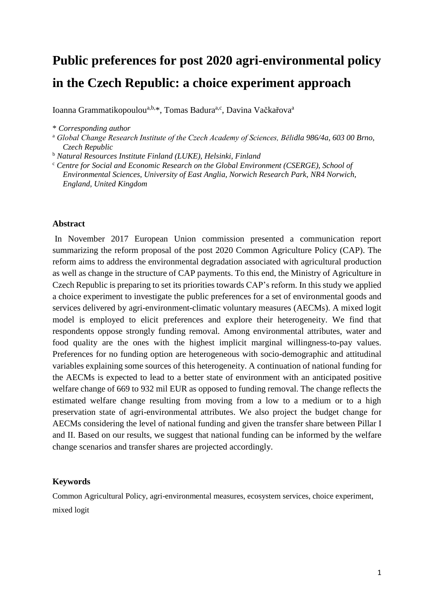# **Public preferences for post 2020 agri-environmental policy in the Czech Republic: a choice experiment approach**

Ioanna Grammatikopoulou<sup>a,b,\*</sup>, Tomas Badura<sup>a,c</sup>, Davina Vačkařova<sup>a</sup>

\* *Corresponding author*

<sup>a</sup> *Global Change Research Institute of the Czech Academy of Sciences, Bělidla 986/4a, 603 00 Brno, Czech Republic*

<sup>b</sup> *Natural Resources Institute Finland (LUKE), Helsinki, Finland*

<sup>c</sup> *Centre for Social and Economic Research on the Global Environment (CSERGE), School of Environmental Sciences, University of East Anglia, Norwich Research Park, NR4 Norwich, England, United Kingdom*

#### **Abstract**

In November 2017 European Union commission presented a communication report summarizing the reform proposal of the post 2020 Common Agriculture Policy (CAP). The reform aims to address the environmental degradation associated with agricultural production as well as change in the structure of CAP payments. To this end, the Ministry of Agriculture in Czech Republic is preparing to set its priorities towards CAP's reform. In this study we applied a choice experiment to investigate the public preferences for a set of environmental goods and services delivered by agri-environment-climatic voluntary measures (AECMs). A mixed logit model is employed to elicit preferences and explore their heterogeneity. We find that respondents oppose strongly funding removal. Among environmental attributes, water and food quality are the ones with the highest implicit marginal willingness-to-pay values. Preferences for no funding option are heterogeneous with socio-demographic and attitudinal variables explaining some sources of this heterogeneity. A continuation of national funding for the AECMs is expected to lead to a better state of environment with an anticipated positive welfare change of 669 to 932 mil EUR as opposed to funding removal. The change reflects the estimated welfare change resulting from moving from a low to a medium or to a high preservation state of agri-environmental attributes. We also project the budget change for AECMs considering the level of national funding and given the transfer share between Pillar I and II. Based on our results, we suggest that national funding can be informed by the welfare change scenarios and transfer shares are projected accordingly.

#### **Keywords**

Common Agricultural Policy, agri-environmental measures, ecosystem services, choice experiment, mixed logit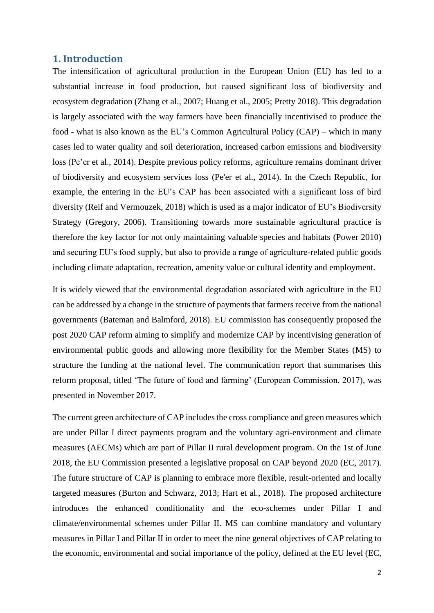#### **1. Introduction**

The intensification of agricultural production in the European Union (EU) has led to a substantial increase in food production, but caused significant loss of biodiversity and ecosystem degradation (Zhang et al., 2007; Huang et al., 2005; Pretty 2018). This degradation is largely associated with the way farmers have been financially incentivised to produce the food - what is also known as the EU's Common Agricultural Policy (CAP) – which in many cases led to water quality and soil deterioration, increased carbon emissions and biodiversity loss (Pe'er et al., 2014). Despite previous policy reforms, agriculture remains dominant driver of biodiversity and ecosystem services loss (Pe'er et al., 2014). In the Czech Republic, for example, the entering in the EU's CAP has been associated with a significant loss of bird diversity (Reif and Vermouzek, 2018) which is used as a major indicator of EU's Biodiversity Strategy (Gregory, 2006). Transitioning towards more sustainable agricultural practice is therefore the key factor for not only maintaining valuable species and habitats (Power 2010) and securing EU's food supply, but also to provide a range of agriculture-related public goods including climate adaptation, recreation, amenity value or cultural identity and employment.

It is widely viewed that the environmental degradation associated with agriculture in the EU can be addressed by a change in the structure of payments that farmers receive from the national governments (Bateman and Balmford, 2018). EU commission has consequently proposed the post 2020 CAP reform aiming to simplify and modernize CAP by incentivising generation of environmental public goods and allowing more flexibility for the Member States (MS) to structure the funding at the national level. The communication report that summarises this reform proposal, titled 'The future of food and farming' (European Commission, 2017), was presented in November 2017.

The current green architecture of CAP includes the cross compliance and green measures which are under Pillar I direct payments program and the voluntary agri-environment and climate measures (AECMs) which are part of Pillar II rural development program. On the 1st of June 2018, the EU Commission presented a legislative proposal on CAP beyond 2020 (EC, 2017). The future structure of CAP is planning to embrace more flexible, result-oriented and locally targeted measures (Burton and Schwarz, 2013; Hart et al., 2018). The proposed architecture introduces the enhanced conditionality and the eco-schemes under Pillar I and climate/environmental schemes under Pillar II. MS can combine mandatory and voluntary measures in Pillar I and Pillar II in order to meet the nine general objectives of CAP relating to the economic, environmental and social importance of the policy, defined at the EU level (EC,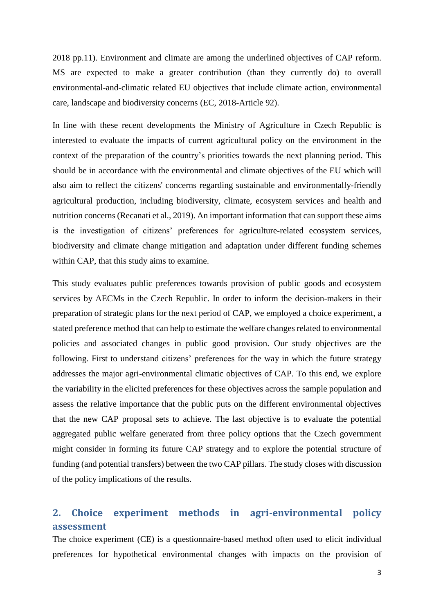2018 pp.11). Environment and climate are among the underlined objectives of CAP reform. MS are expected to make a greater contribution (than they currently do) to overall environmental-and-climatic related EU objectives that include climate action, environmental care, landscape and biodiversity concerns (EC, 2018-Article 92).

In line with these recent developments the Ministry of Agriculture in Czech Republic is interested to evaluate the impacts of current agricultural policy on the environment in the context of the preparation of the country's priorities towards the next planning period. This should be in accordance with the environmental and climate objectives of the EU which will also aim to reflect the citizens' concerns regarding sustainable and environmentally-friendly agricultural production, including biodiversity, climate, ecosystem services and health and nutrition concerns (Recanati et al., 2019). An important information that can support these aims is the investigation of citizens' preferences for agriculture-related ecosystem services, biodiversity and climate change mitigation and adaptation under different funding schemes within CAP, that this study aims to examine.

This study evaluates public preferences towards provision of public goods and ecosystem services by AECMs in the Czech Republic. In order to inform the decision-makers in their preparation of strategic plans for the next period of CAP, we employed a choice experiment, a stated preference method that can help to estimate the welfare changes related to environmental policies and associated changes in public good provision. Our study objectives are the following. First to understand citizens' preferences for the way in which the future strategy addresses the major agri-environmental climatic objectives of CAP. To this end, we explore the variability in the elicited preferences for these objectives across the sample population and assess the relative importance that the public puts on the different environmental objectives that the new CAP proposal sets to achieve. The last objective is to evaluate the potential aggregated public welfare generated from three policy options that the Czech government might consider in forming its future CAP strategy and to explore the potential structure of funding (and potential transfers) between the two CAP pillars. The study closes with discussion of the policy implications of the results.

### **2. Choice experiment methods in agri-environmental policy assessment**

The choice experiment (CE) is a questionnaire-based method often used to elicit individual preferences for hypothetical environmental changes with impacts on the provision of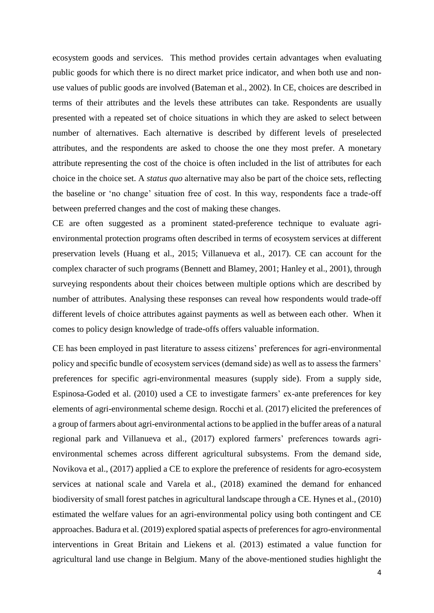ecosystem goods and services. This method provides certain advantages when evaluating public goods for which there is no direct market price indicator, and when both use and nonuse values of public goods are involved (Bateman et al., 2002). In CE, choices are described in terms of their attributes and the levels these attributes can take. Respondents are usually presented with a repeated set of choice situations in which they are asked to select between number of alternatives. Each alternative is described by different levels of preselected attributes, and the respondents are asked to choose the one they most prefer. A monetary attribute representing the cost of the choice is often included in the list of attributes for each choice in the choice set. A *status quo* alternative may also be part of the choice sets, reflecting the baseline or 'no change' situation free of cost. In this way, respondents face a trade-off between preferred changes and the cost of making these changes.

CE are often suggested as a prominent stated-preference technique to evaluate agrienvironmental protection programs often described in terms of ecosystem services at different preservation levels (Huang et al., 2015; Villanueva et al., 2017). CE can account for the complex character of such programs (Bennett and Blamey, 2001; Hanley et al., 2001), through surveying respondents about their choices between multiple options which are described by number of attributes. Analysing these responses can reveal how respondents would trade-off different levels of choice attributes against payments as well as between each other. When it comes to policy design knowledge of trade-offs offers valuable information.

CE has been employed in past literature to assess citizens' preferences for agri-environmental policy and specific bundle of ecosystem services (demand side) as well as to assess the farmers' preferences for specific agri-environmental measures (supply side). From a supply side, Espinosa-Goded et al. (2010) used a CE to investigate farmers' ex-ante preferences for key elements of agri-environmental scheme design. Rocchi et al. (2017) elicited the preferences of a group of farmers about agri-environmental actions to be applied in the buffer areas of a natural regional park and Villanueva et al., (2017) explored farmers' preferences towards agrienvironmental schemes across different agricultural subsystems. From the demand side, Novikova et al., (2017) applied a CE to explore the preference of residents for agro-ecosystem services at national scale and Varela et al., (2018) examined the demand for enhanced biodiversity of small forest patches in agricultural landscape through a CE. Hynes et al., (2010) estimated the welfare values for an agri-environmental policy using both contingent and CE approaches. Badura et al. (2019) explored spatial aspects of preferences for agro-environmental interventions in Great Britain and Liekens et al. (2013) estimated a value function for agricultural land use change in Belgium. Many of the above-mentioned studies highlight the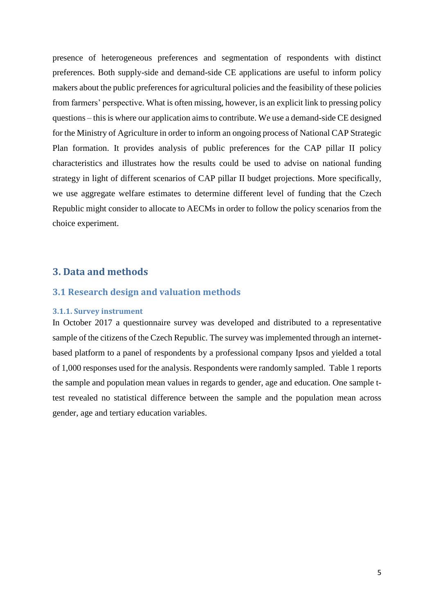presence of heterogeneous preferences and segmentation of respondents with distinct preferences. Both supply-side and demand-side CE applications are useful to inform policy makers about the public preferences for agricultural policies and the feasibility of these policies from farmers' perspective. What is often missing, however, is an explicit link to pressing policy questions – this is where our application aims to contribute. We use a demand-side CE designed for the Ministry of Agriculture in order to inform an ongoing process of National CAP Strategic Plan formation. It provides analysis of public preferences for the CAP pillar II policy characteristics and illustrates how the results could be used to advise on national funding strategy in light of different scenarios of CAP pillar II budget projections. More specifically, we use aggregate welfare estimates to determine different level of funding that the Czech Republic might consider to allocate to AECMs in order to follow the policy scenarios from the choice experiment.

### **3. Data and methods**

#### **3.1 Research design and valuation methods**

#### **3.1.1. Survey instrument**

In October 2017 a questionnaire survey was developed and distributed to a representative sample of the citizens of the Czech Republic. The survey was implemented through an internetbased platform to a panel of respondents by a professional company Ipsos and yielded a total of 1,000 responses used for the analysis. Respondents were randomly sampled. Table 1 reports the sample and population mean values in regards to gender, age and education. One sample ttest revealed no statistical difference between the sample and the population mean across gender, age and tertiary education variables.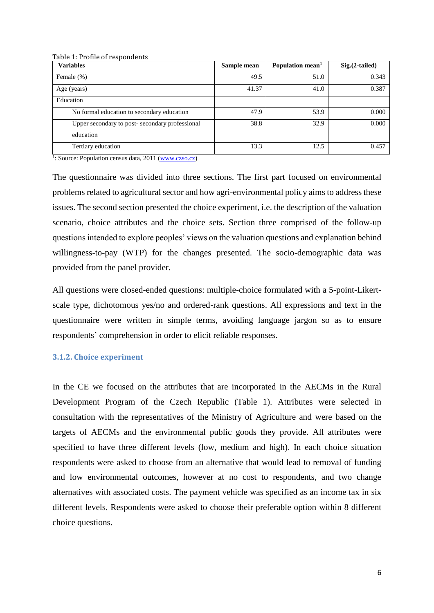| <b>Variables</b>                                            | Sample mean | Population mean <sup>1</sup> | $Sig.(2-tailed)$ |
|-------------------------------------------------------------|-------------|------------------------------|------------------|
| Female (%)                                                  | 49.5        | 51.0                         | 0.343            |
| Age (years)                                                 | 41.37       | 41.0                         | 0.387            |
| Education                                                   |             |                              |                  |
| No formal education to secondary education                  | 47.9        | 53.9                         | 0.000            |
| Upper secondary to post-secondary professional<br>education | 38.8        | 32.9                         | 0.000            |
| Tertiary education                                          | 13.3        | 12.5                         | 0.457            |

Table 1: Profile of respondents

<sup>1</sup>: Source: Population census data, 2011 [\(www.czso.cz\)](http://www.czso.cz/)

The questionnaire was divided into three sections. The first part focused on environmental problems related to agricultural sector and how agri-environmental policy aims to address these issues. The second section presented the choice experiment, i.e. the description of the valuation scenario, choice attributes and the choice sets. Section three comprised of the follow-up questions intended to explore peoples' views on the valuation questions and explanation behind willingness-to-pay (WTP) for the changes presented. The socio-demographic data was provided from the panel provider.

All questions were closed-ended questions: multiple-choice formulated with a 5-point-Likertscale type, dichotomous yes/no and ordered-rank questions. All expressions and text in the questionnaire were written in simple terms, avoiding language jargon so as to ensure respondents' comprehension in order to elicit reliable responses.

#### **3.1.2. Choice experiment**

In the CE we focused on the attributes that are incorporated in the AECMs in the Rural Development Program of the Czech Republic (Table 1). Attributes were selected in consultation with the representatives of the Ministry of Agriculture and were based on the targets of AECMs and the environmental public goods they provide. All attributes were specified to have three different levels (low, medium and high). In each choice situation respondents were asked to choose from an alternative that would lead to removal of funding and low environmental outcomes, however at no cost to respondents, and two change alternatives with associated costs. The payment vehicle was specified as an income tax in six different levels. Respondents were asked to choose their preferable option within 8 different choice questions.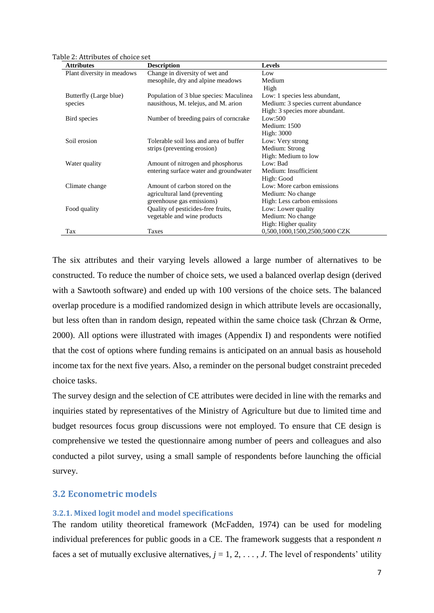Table 2: Attributes of choice set

| <b>Attributes</b>          | <b>Description</b>                      | <b>Levels</b>                       |
|----------------------------|-----------------------------------------|-------------------------------------|
| Plant diversity in meadows | Change in diversity of wet and          | Low                                 |
|                            | mesophile, dry and alpine meadows       | Medium                              |
|                            |                                         | High                                |
| Butterfly (Large blue)     | Population of 3 blue species: Maculinea | Low: 1 species less abundant,       |
| species                    | nausithous, M. telejus, and M. arion    | Medium: 3 species current abundance |
|                            |                                         | High: 3 species more abundant.      |
| Bird species               | Number of breeding pairs of corncrake   | Low:500                             |
|                            |                                         | Medium: 1500                        |
|                            |                                         | High: 3000                          |
| Soil erosion               | Tolerable soil loss and area of buffer  | Low: Very strong                    |
|                            | strips (preventing erosion)             | Medium: Strong                      |
|                            |                                         | High: Medium to low                 |
| Water quality              | Amount of nitrogen and phosphorus       | Low: Bad                            |
|                            | entering surface water and groundwater  | Medium: Insufficient                |
|                            |                                         | High: Good                          |
| Climate change             | Amount of carbon stored on the          | Low: More carbon emissions          |
|                            | agricultural land (preventing           | Medium: No change                   |
|                            | greenhouse gas emissions)               | High: Less carbon emissions         |
| Food quality               | Quality of pesticides-free fruits,      | Low: Lower quality                  |
|                            | vegetable and wine products             | Medium: No change                   |
|                            |                                         | High: Higher quality                |
| Tax                        | Taxes                                   | 0,500,1000,1500,2500,5000 CZK       |

The six attributes and their varying levels allowed a large number of alternatives to be constructed. To reduce the number of choice sets, we used a balanced overlap design (derived with a Sawtooth software) and ended up with 100 versions of the choice sets. The balanced overlap procedure is a modified randomized design in which attribute levels are occasionally, but less often than in random design, repeated within the same choice task (Chrzan & Orme, 2000). All options were illustrated with images (Appendix I) and respondents were notified that the cost of options where funding remains is anticipated on an annual basis as household income tax for the next five years. Also, a reminder on the personal budget constraint preceded choice tasks.

The survey design and the selection of CE attributes were decided in line with the remarks and inquiries stated by representatives of the Ministry of Agriculture but due to limited time and budget resources focus group discussions were not employed. To ensure that CE design is comprehensive we tested the questionnaire among number of peers and colleagues and also conducted a pilot survey, using a small sample of respondents before launching the official survey.

#### **3.2 Econometric models**

#### **3.2.1. Mixed logit model and model specifications**

The random utility theoretical framework (McFadden, 1974) can be used for modeling individual preferences for public goods in a CE. The framework suggests that a respondent *n* faces a set of mutually exclusive alternatives,  $j = 1, 2, \ldots, J$ . The level of respondents' utility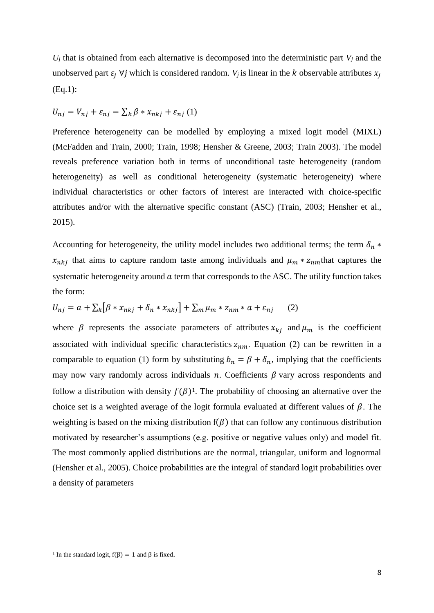$U_j$  that is obtained from each alternative is decomposed into the deterministic part  $V_j$  and the unobserved part  $\varepsilon_i$   $\forall j$  which is considered random. *V<sub>j</sub>* is linear in the *k* observable attributes  $x_j$ (Eq.1):

$$
U_{nj} = V_{nj} + \varepsilon_{nj} = \sum_{k} \beta * x_{nkj} + \varepsilon_{nj} (1)
$$

Preference heterogeneity can be modelled by employing a mixed logit model (MIXL) (McFadden and Train, 2000; Train, 1998; Hensher & Greene, 2003; Train 2003). The model reveals preference variation both in terms of unconditional taste heterogeneity (random heterogeneity) as well as conditional heterogeneity (systematic heterogeneity) where individual characteristics or other factors of interest are interacted with choice-specific attributes and/or with the alternative specific constant (ASC) (Train, 2003; Hensher et al., 2015).

Accounting for heterogeneity, the utility model includes two additional terms; the term  $\delta_n$  \*  $x_{nkj}$  that aims to capture random taste among individuals and  $\mu_m * z_{nm}$  that captures the systematic heterogeneity around  $\alpha$  term that corresponds to the ASC. The utility function takes the form:

$$
U_{nj} = a + \sum_{k} [\beta * x_{nkj} + \delta_n * x_{nkj}] + \sum_{m} \mu_m * z_{nm} * a + \varepsilon_{nj} \qquad (2)
$$

where  $\beta$  represents the associate parameters of attributes  $x_{kj}$  and  $\mu_m$  is the coefficient associated with individual specific characteristics  $z_{nm}$ . Equation (2) can be rewritten in a comparable to equation (1) form by substituting  $b_n = \beta + \delta_n$ , implying that the coefficients may now vary randomly across individuals  $n$ . Coefficients  $\beta$  vary across respondents and follow a distribution with density  $f(\beta)^1$ . The probability of choosing an alternative over the choice set is a weighted average of the logit formula evaluated at different values of  $\beta$ . The weighting is based on the mixing distribution  $f(\beta)$  that can follow any continuous distribution motivated by researcher's assumptions (e.g. positive or negative values only) and model fit. The most commonly applied distributions are the normal, triangular, uniform and lognormal (Hensher et al., 2005). Choice probabilities are the integral of standard logit probabilities over a density of parameters

 $\overline{a}$ 

<sup>&</sup>lt;sup>1</sup> In the standard logit,  $f(\beta) = 1$  and  $\beta$  is fixed.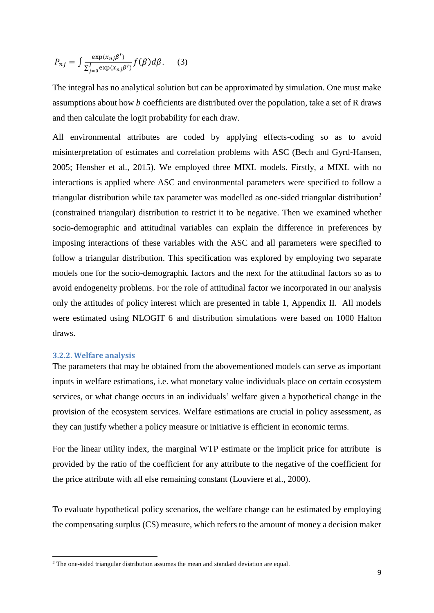$$
P_{nj} = \int \frac{\exp(x_{nj}\beta')}{\sum_{j=0}^{J} \exp(x_{nj}\beta')} f(\beta) d\beta.
$$
 (3)

The integral has no analytical solution but can be approximated by simulation. One must make assumptions about how  $b$  coefficients are distributed over the population, take a set of R draws and then calculate the logit probability for each draw.

All environmental attributes are coded by applying effects-coding so as to avoid misinterpretation of estimates and correlation problems with ASC (Bech and Gyrd-Hansen, 2005; Hensher et al., 2015). We employed three MIXL models. Firstly, a MIXL with no interactions is applied where ASC and environmental parameters were specified to follow a triangular distribution while tax parameter was modelled as one-sided triangular distribution<sup>2</sup> (constrained triangular) distribution to restrict it to be negative. Then we examined whether socio-demographic and attitudinal variables can explain the difference in preferences by imposing interactions of these variables with the ASC and all parameters were specified to follow a triangular distribution. This specification was explored by employing two separate models one for the socio-demographic factors and the next for the attitudinal factors so as to avoid endogeneity problems. For the role of attitudinal factor we incorporated in our analysis only the attitudes of policy interest which are presented in table 1, Appendix II. All models were estimated using NLOGIT 6 and distribution simulations were based on 1000 Halton draws.

#### **3.2.2. Welfare analysis**

**.** 

The parameters that may be obtained from the abovementioned models can serve as important inputs in welfare estimations, i.e. what monetary value individuals place on certain ecosystem services, or what change occurs in an individuals' welfare given a hypothetical change in the provision of the ecosystem services. Welfare estimations are crucial in policy assessment, as they can justify whether a policy measure or initiative is efficient in economic terms.

For the linear utility index, the marginal WTP estimate or the implicit price for attribute is provided by the ratio of the coefficient for any attribute to the negative of the coefficient for the price attribute with all else remaining constant (Louviere et al., 2000).

To evaluate hypothetical policy scenarios, the welfare change can be estimated by employing the compensating surplus (CS) measure, which refers to the amount of money a decision maker

<sup>&</sup>lt;sup>2</sup> The one-sided triangular distribution assumes the mean and standard deviation are equal.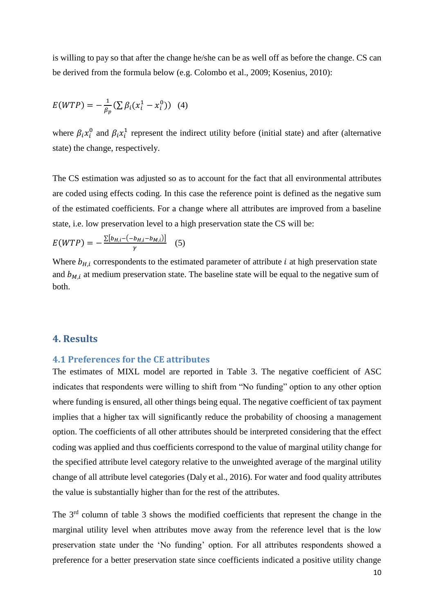is willing to pay so that after the change he/she can be as well off as before the change. CS can be derived from the formula below (e.g. Colombo et al., 2009; Kosenius, 2010):

$$
E(WTP) = -\frac{1}{\beta_p} (\sum \beta_i (x_i^1 - x_i^0))
$$
 (4)

where  $\beta_i x_i^0$  and  $\beta_i x_i^1$  represent the indirect utility before (initial state) and after (alternative state) the change, respectively.

The CS estimation was adjusted so as to account for the fact that all environmental attributes are coded using effects coding. In this case the reference point is defined as the negative sum of the estimated coefficients. For a change where all attributes are improved from a baseline state, i.e. low preservation level to a high preservation state the CS will be:

$$
E(WTP) = -\frac{\sum [b_{H,i} - (-b_{H,i} - b_{M,i})]}{\gamma} \quad (5)
$$

Where  $b_{H,i}$  correspondents to the estimated parameter of attribute  $i$  at high preservation state and  $b_{M,i}$  at medium preservation state. The baseline state will be equal to the negative sum of both.

### **4. Results**

### **4.1 Preferences for the CE attributes**

The estimates of MIXL model are reported in Table 3. The negative coefficient of ASC indicates that respondents were willing to shift from "No funding" option to any other option where funding is ensured, all other things being equal. The negative coefficient of tax payment implies that a higher tax will significantly reduce the probability of choosing a management option. The coefficients of all other attributes should be interpreted considering that the effect coding was applied and thus coefficients correspond to the value of marginal utility change for the specified attribute level category relative to the unweighted average of the marginal utility change of all attribute level categories (Daly et al., 2016). For water and food quality attributes the value is substantially higher than for the rest of the attributes.

The 3rd column of table 3 shows the modified coefficients that represent the change in the marginal utility level when attributes move away from the reference level that is the low preservation state under the 'No funding' option. For all attributes respondents showed a preference for a better preservation state since coefficients indicated a positive utility change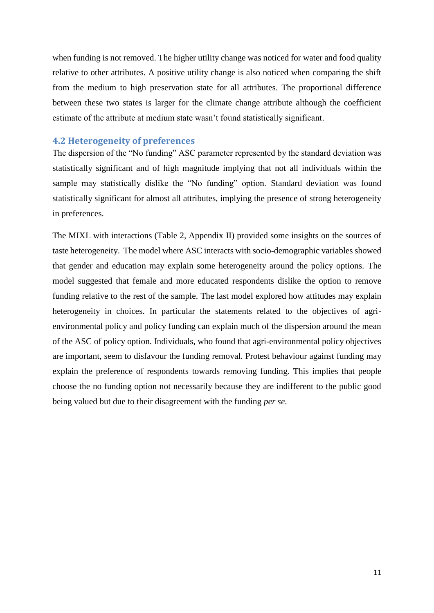when funding is not removed. The higher utility change was noticed for water and food quality relative to other attributes. A positive utility change is also noticed when comparing the shift from the medium to high preservation state for all attributes. The proportional difference between these two states is larger for the climate change attribute although the coefficient estimate of the attribute at medium state wasn't found statistically significant.

### **4.2 Heterogeneity of preferences**

The dispersion of the "No funding" ASC parameter represented by the standard deviation was statistically significant and of high magnitude implying that not all individuals within the sample may statistically dislike the "No funding" option. Standard deviation was found statistically significant for almost all attributes, implying the presence of strong heterogeneity in preferences.

The MIXL with interactions (Table 2, Appendix II) provided some insights on the sources of taste heterogeneity. The model where ASC interacts with socio-demographic variables showed that gender and education may explain some heterogeneity around the policy options. The model suggested that female and more educated respondents dislike the option to remove funding relative to the rest of the sample. The last model explored how attitudes may explain heterogeneity in choices. In particular the statements related to the objectives of agrienvironmental policy and policy funding can explain much of the dispersion around the mean of the ASC of policy option. Individuals, who found that agri-environmental policy objectives are important, seem to disfavour the funding removal. Protest behaviour against funding may explain the preference of respondents towards removing funding. This implies that people choose the no funding option not necessarily because they are indifferent to the public good being valued but due to their disagreement with the funding *per se*.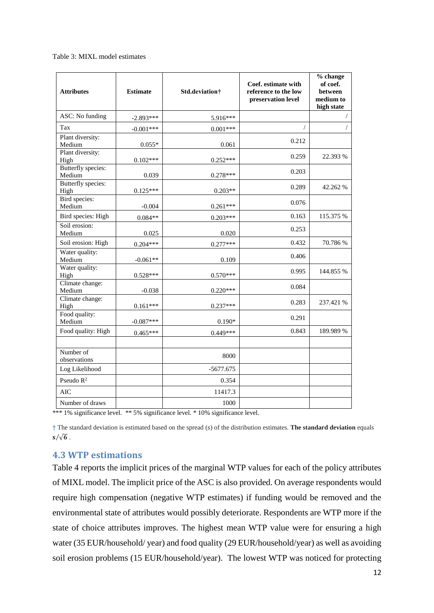#### Table 3: MIXL model estimates

| <b>Attributes</b>            | <b>Estimate</b> | Std.deviation† | Coef. estimate with<br>reference to the low<br>preservation level | % change<br>of coef.<br><b>between</b><br>medium to<br>high state |
|------------------------------|-----------------|----------------|-------------------------------------------------------------------|-------------------------------------------------------------------|
| ASC: No funding              | $-2.893***$     | 5.916***       |                                                                   | $\sqrt{2}$                                                        |
| Tax                          | $-0.001***$     | $0.001***$     |                                                                   | $\sqrt{2}$                                                        |
| Plant diversity:             |                 |                | 0.212                                                             |                                                                   |
| Medium<br>Plant diversity:   | $0.055*$        | 0.061          |                                                                   |                                                                   |
| High                         | $0.102***$      | $0.252***$     | 0.259                                                             | 22.393 %                                                          |
| Butterfly species:<br>Medium | 0.039           | $0.278***$     | 0.203                                                             |                                                                   |
| Butterfly species:<br>High   | $0.125***$      | $0.203**$      | 0.289                                                             | 42.262 %                                                          |
| Bird species:<br>Medium      | $-0.004$        | $0.261***$     | 0.076                                                             |                                                                   |
| Bird species: High           | $0.084**$       | $0.203***$     | 0.163                                                             | 115.375 %                                                         |
| Soil erosion:<br>Medium      | 0.025           | 0.020          | 0.253                                                             |                                                                   |
| Soil erosion: High           | $0.204***$      | $0.277***$     | 0.432                                                             | 70.786 %                                                          |
| Water quality:<br>Medium     | $-0.061**$      | 0.109          | 0.406                                                             |                                                                   |
| Water quality:<br>High       | $0.528***$      | $0.570***$     | 0.995                                                             | 144.855 %                                                         |
| Climate change:<br>Medium    | $-0.038$        | $0.220***$     | 0.084                                                             |                                                                   |
| Climate change:<br>High      | $0.161***$      | $0.237***$     | 0.283                                                             | 237.421 %                                                         |
| Food quality:<br>Medium      | $-0.087***$     | $0.190*$       | 0.291                                                             |                                                                   |
| Food quality: High           | $0.465***$      | $0.449***$     | 0.843                                                             | 189.989 %                                                         |
| Number of<br>observations    |                 | 8000           |                                                                   |                                                                   |
| Log Likelihood               |                 | $-5677.675$    |                                                                   |                                                                   |
| Pseudo $R^2$                 |                 | 0.354          |                                                                   |                                                                   |
| AIC                          |                 | 11417.3        |                                                                   |                                                                   |
| Number of draws              |                 | 1000           |                                                                   |                                                                   |

\*\*\* 1% significance level. \*\* 5% significance level. \* 10% significance level.

**†** The standard deviation is estimated based on the spread (s) of the distribution estimates. **The standard deviation** equals  $s/\sqrt{6}$ .

### **4.3 WTP estimations**

Table 4 reports the implicit prices of the marginal WTP values for each of the policy attributes of MIXL model. The implicit price of the ASC is also provided. On average respondents would require high compensation (negative WTP estimates) if funding would be removed and the environmental state of attributes would possibly deteriorate. Respondents are WTP more if the state of choice attributes improves. The highest mean WTP value were for ensuring a high water (35 EUR/household/ year) and food quality (29 EUR/household/year) as well as avoiding soil erosion problems (15 EUR/household/year). The lowest WTP was noticed for protecting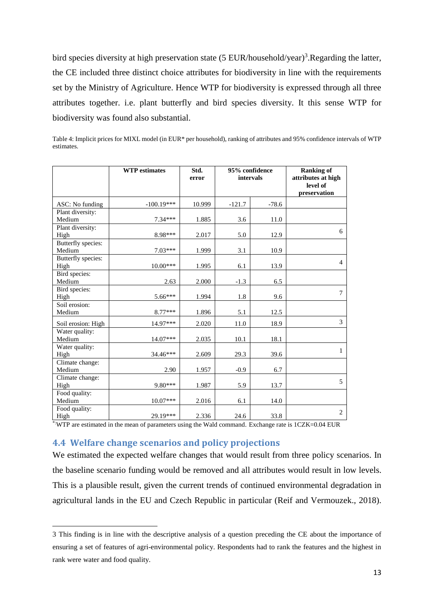bird species diversity at high preservation state (5 EUR/household/year)<sup>3</sup>. Regarding the latter, the CE included three distinct choice attributes for biodiversity in line with the requirements set by the Ministry of Agriculture. Hence WTP for biodiversity is expressed through all three attributes together. i.e. plant butterfly and bird species diversity. It this sense WTP for biodiversity was found also substantial.

Table 4: Implicit prices for MIXL model (in EUR\* per household), ranking of attributes and 95% confidence intervals of WTP

estimates. ┑ **WTP estimates Std. 95% confidence Ranking of**  ┑ ┓ **error intervals attributes at high** 

|                              |              | error  |          | intervals | wanning vi<br>attributes at high<br>level of<br>preservation |
|------------------------------|--------------|--------|----------|-----------|--------------------------------------------------------------|
| ASC: No funding              | $-100.19***$ | 10.999 | $-121.7$ | $-78.6$   |                                                              |
| Plant diversity:<br>Medium   | $7.34***$    | 1.885  | 3.6      | 11.0      |                                                              |
| Plant diversity:<br>High     | 8.98***      | 2.017  | 5.0      | 12.9      | 6                                                            |
| Butterfly species:<br>Medium | $7.03***$    | 1.999  | 3.1      | 10.9      |                                                              |
| Butterfly species:<br>High   | $10.00***$   | 1.995  | 6.1      | 13.9      | $\overline{4}$                                               |
| Bird species:<br>Medium      | 2.63         | 2.000  | $-1.3$   | 6.5       |                                                              |
| Bird species:<br>High        | $5.66***$    | 1.994  | 1.8      | 9.6       | $\tau$                                                       |
| Soil erosion:<br>Medium      | $8.77***$    | 1.896  | 5.1      | 12.5      |                                                              |
| Soil erosion: High           | 14.97***     | 2.020  | 11.0     | 18.9      | 3                                                            |
| Water quality:<br>Medium     | $14.07***$   | 2.035  | 10.1     | 18.1      |                                                              |
| Water quality:<br>High       | 34.46***     | 2.609  | 29.3     | 39.6      | $\mathbf{1}$                                                 |
| Climate change:<br>Medium    | 2.90         | 1.957  | $-0.9$   | 6.7       |                                                              |
| Climate change:<br>High      | 9.80***      | 1.987  | 5.9      | 13.7      | 5                                                            |
| Food quality:<br>Medium      | $10.07***$   | 2.016  | 6.1      | 14.0      |                                                              |
| Food quality:<br>High        | 29.19***     | 2.336  | 24.6     | 33.8      | 2                                                            |

\*:WTP are estimated in the mean of parameters using the Wald command. Exchange rate is 1CZK=0.04 EUR

### **4.4 Welfare change scenarios and policy projections**

**.** 

We estimated the expected welfare changes that would result from three policy scenarios. In the baseline scenario funding would be removed and all attributes would result in low levels. This is a plausible result, given the current trends of continued environmental degradation in agricultural lands in the EU and Czech Republic in particular (Reif and Vermouzek., 2018).

<sup>3</sup> This finding is in line with the descriptive analysis of a question preceding the CE about the importance of ensuring a set of features of agri-environmental policy. Respondents had to rank the features and the highest in rank were water and food quality.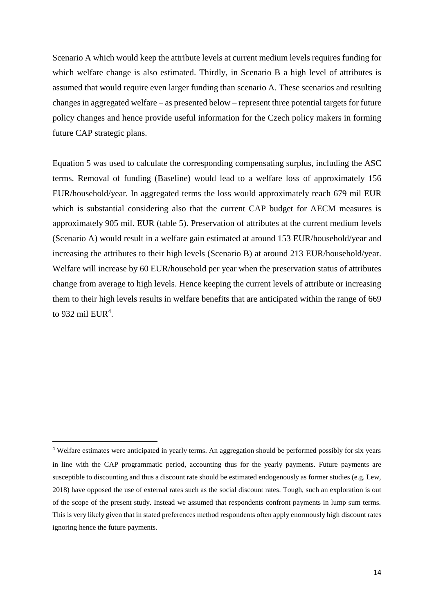Scenario A which would keep the attribute levels at current medium levels requires funding for which welfare change is also estimated. Thirdly, in Scenario B a high level of attributes is assumed that would require even larger funding than scenario A. These scenarios and resulting changes in aggregated welfare – as presented below – represent three potential targets for future policy changes and hence provide useful information for the Czech policy makers in forming future CAP strategic plans.

Equation 5 was used to calculate the corresponding compensating surplus, including the ASC terms. Removal of funding (Baseline) would lead to a welfare loss of approximately 156 EUR/household/year. In aggregated terms the loss would approximately reach 679 mil EUR which is substantial considering also that the current CAP budget for AECM measures is approximately 905 mil. EUR (table 5). Preservation of attributes at the current medium levels (Scenario A) would result in a welfare gain estimated at around 153 EUR/household/year and increasing the attributes to their high levels (Scenario B) at around 213 EUR/household/year. Welfare will increase by 60 EUR/household per year when the preservation status of attributes change from average to high levels. Hence keeping the current levels of attribute or increasing them to their high levels results in welfare benefits that are anticipated within the range of 669 to 932 mil  $EUR<sup>4</sup>$ .

**.** 

<sup>&</sup>lt;sup>4</sup> Welfare estimates were anticipated in yearly terms. An aggregation should be performed possibly for six years in line with the CAP programmatic period, accounting thus for the yearly payments. Future payments are susceptible to discounting and thus a discount rate should be estimated endogenously as former studies (e.g. Lew, 2018) have opposed the use of external rates such as the social discount rates. Tough, such an exploration is out of the scope of the present study. Instead we assumed that respondents confront payments in lump sum terms. This is very likely given that in stated preferences method respondents often apply enormously high discount rates ignoring hence the future payments.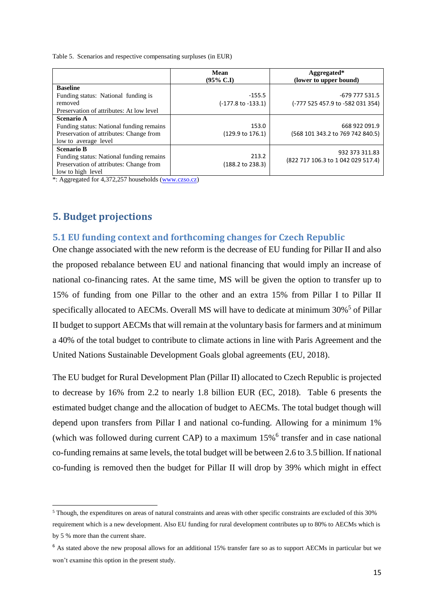Table 5. Scenarios and respective compensating surpluses (in EUR)

|                                                                                                                               | Mean<br>$(95\% \text{ C}J)$          | Aggregated*<br>(lower to upper bound)                |
|-------------------------------------------------------------------------------------------------------------------------------|--------------------------------------|------------------------------------------------------|
| <b>Baseline</b><br>Funding status: National funding is<br>removed<br>Preservation of attributes: At low level                 | $-155.5$<br>(-177.8 to -133.1)       | -679 777 531.5<br>(-777 525 457.9 to -582 031 354)   |
| Scenario A<br>Funding status: National funding remains<br>Preservation of attributes: Change from<br>low to average level     | 153.0<br>$(129.9 \text{ to } 176.1)$ | 668 922 091.9<br>(568 101 343.2 to 769 742 840.5)    |
| <b>Scenario B</b><br>Funding status: National funding remains<br>Preservation of attributes: Change from<br>low to high level | 213.2<br>$(188.2 \text{ to } 238.3)$ | 932 373 311.83<br>(822 717 106.3 to 1 042 029 517.4) |

\*: Aggregated for 4,372,257 households [\(www.czso.cz\)](http://www.czso.cz/)

### **5. Budget projections**

1

#### **5.1 EU funding context and forthcoming changes for Czech Republic**

One change associated with the new reform is the decrease of EU funding for Pillar II and also the proposed rebalance between EU and national financing that would imply an increase of national co-financing rates. At the same time, MS will be given the option to transfer up to 15% of funding from one Pillar to the other and an extra 15% from Pillar I to Pillar II specifically allocated to AECMs. Overall MS will have to dedicate at minimum 30%<sup>5</sup> of Pillar II budget to support AECMs that will remain at the voluntary basis for farmers and at minimum a 40% of the total budget to contribute to climate actions in line with Paris Agreement and the United Nations Sustainable Development Goals global agreements (EU, 2018).

The EU budget for Rural Development Plan (Pillar II) allocated to Czech Republic is projected to decrease by 16% from 2.2 to nearly 1.8 billion EUR (EC, 2018). Table 6 presents the estimated budget change and the allocation of budget to AECMs. The total budget though will depend upon transfers from Pillar I and national co-funding. Allowing for a minimum 1% (which was followed during current CAP) to a maximum 15%<sup>6</sup> transfer and in case national co-funding remains at same levels, the total budget will be between 2.6 to 3.5 billion. If national co-funding is removed then the budget for Pillar II will drop by 39% which might in effect

<sup>5</sup> Though, the expenditures on areas of natural constraints and areas with other specific constraints are excluded of this 30% requirement which is a new development. Also EU funding for rural development contributes up to 80% to AECMs which is by 5 % more than the current share.

<sup>&</sup>lt;sup>6</sup> As stated above the new proposal allows for an additional 15% transfer fare so as to support AECMs in particular but we won't examine this option in the present study.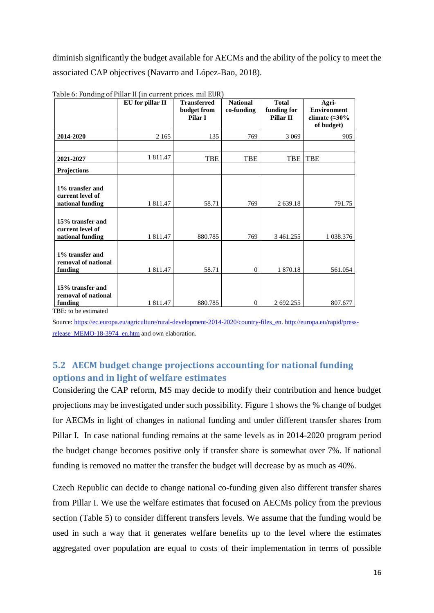diminish significantly the budget available for AECMs and the ability of the policy to meet the associated CAP objectives (Navarro and López-Bao, 2018).

|                                                          | EU for pillar II | <b>Transferred</b><br>budget from<br>Pilar I | <b>National</b><br>co-funding | <b>Total</b><br>funding for<br>Pillar II | Agri-<br><b>Environment</b><br>climate $(\approx 30\%$<br>of budget) |
|----------------------------------------------------------|------------------|----------------------------------------------|-------------------------------|------------------------------------------|----------------------------------------------------------------------|
| 2014-2020                                                | 2 1 6 5          | 135                                          | 769                           | 3 0 6 9                                  | 905                                                                  |
|                                                          |                  |                                              |                               |                                          |                                                                      |
| 2021-2027                                                | 1 811.47         | <b>TBE</b>                                   | <b>TBE</b>                    | <b>TBE</b>                               | <b>TBE</b>                                                           |
| <b>Projections</b>                                       |                  |                                              |                               |                                          |                                                                      |
| 1% transfer and<br>current level of<br>national funding  | 1 811.47         | 58.71                                        | 769                           | 2 639.18                                 | 791.75                                                               |
| 15% transfer and<br>current level of<br>national funding | 1 811.47         | 880.785                                      | 769                           | 3 4 6 1.255                              | 1 0 38.376                                                           |
| 1% transfer and<br>removal of national<br>funding        | 1 811.47         | 58.71                                        | $\mathbf{0}$                  | 1 870.18                                 | 561.054                                                              |
| 15% transfer and<br>removal of national<br>funding       | 1 811.47         | 880.785                                      | $\mathbf{0}$                  | 2 692.255                                | 807.677                                                              |

Table 6: Funding of Pillar II (in current prices. mil EUR)

TBE: to be estimated

Source[: https://ec.europa.eu/agriculture/rural-development-2014-2020/country-files\\_en.](https://ec.europa.eu/agriculture/rural-development-2014-2020/country-files_en) [http://europa.eu/rapid/press](http://europa.eu/rapid/press-release_MEMO-18-3974_en.htm)release MEMO-18-3974 en.htm and own elaboration.

# **5.2 AECM budget change projections accounting for national funding options and in light of welfare estimates**

Considering the CAP reform, MS may decide to modify their contribution and hence budget projections may be investigated under such possibility. Figure 1 shows the % change of budget for AECMs in light of changes in national funding and under different transfer shares from Pillar I. In case national funding remains at the same levels as in 2014-2020 program period the budget change becomes positive only if transfer share is somewhat over 7%. If national funding is removed no matter the transfer the budget will decrease by as much as 40%.

Czech Republic can decide to change national co-funding given also different transfer shares from Pillar I. We use the welfare estimates that focused on AECMs policy from the previous section (Table 5) to consider different transfers levels. We assume that the funding would be used in such a way that it generates welfare benefits up to the level where the estimates aggregated over population are equal to costs of their implementation in terms of possible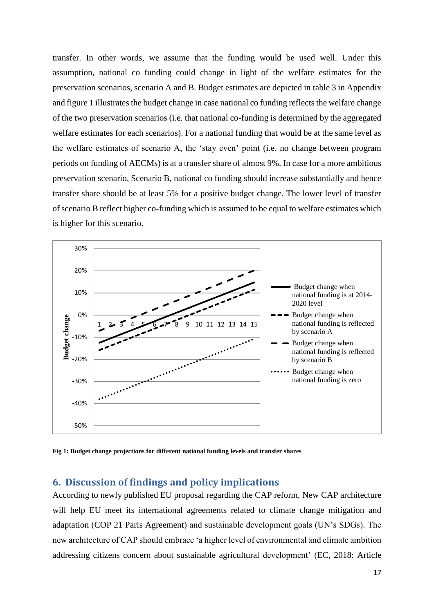transfer. In other words, we assume that the funding would be used well. Under this assumption, national co funding could change in light of the welfare estimates for the preservation scenarios, scenario A and B. Budget estimates are depicted in table 3 in Appendix and figure 1 illustrates the budget change in case national co funding reflects the welfare change of the two preservation scenarios (i.e. that national co-funding is determined by the aggregated welfare estimates for each scenarios). For a national funding that would be at the same level as the welfare estimates of scenario A, the 'stay even' point (i.e. no change between program periods on funding of AECMs) is at a transfer share of almost 9%. In case for a more ambitious preservation scenario, Scenario B, national co funding should increase substantially and hence transfer share should be at least 5% for a positive budget change. The lower level of transfer of scenario B reflect higher co-funding which is assumed to be equal to welfare estimates which is higher for this scenario.



**Fig 1: Budget change projections for different national funding levels and transfer shares**

### **6. Discussion of findings and policy implications**

According to newly published EU proposal regarding the CAP reform, New CAP architecture will help EU meet its international agreements related to climate change mitigation and adaptation (COP 21 Paris Agreement) and sustainable development goals (UN's SDGs). The new architecture of CAP should embrace 'a higher level of environmental and climate ambition addressing citizens concern about sustainable agricultural development' (EC, 2018: Article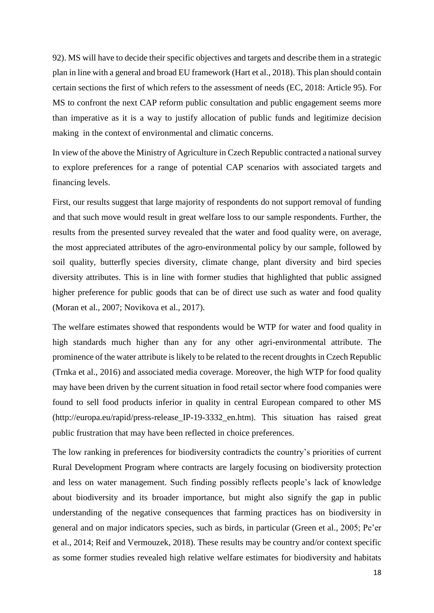92). MS will have to decide their specific objectives and targets and describe them in a strategic plan in line with a general and broad EU framework (Hart et al., 2018). This plan should contain certain sections the first of which refers to the assessment of needs (EC, 2018: Article 95). For MS to confront the next CAP reform public consultation and public engagement seems more than imperative as it is a way to justify allocation of public funds and legitimize decision making in the context of environmental and climatic concerns.

In view of the above the Ministry of Agriculture in Czech Republic contracted a national survey to explore preferences for a range of potential CAP scenarios with associated targets and financing levels.

First, our results suggest that large majority of respondents do not support removal of funding and that such move would result in great welfare loss to our sample respondents. Further, the results from the presented survey revealed that the water and food quality were, on average, the most appreciated attributes of the agro-environmental policy by our sample, followed by soil quality, butterfly species diversity, climate change, plant diversity and bird species diversity attributes. This is in line with former studies that highlighted that public assigned higher preference for public goods that can be of direct use such as water and food quality (Moran et al., 2007; Novikova et al., 2017).

The welfare estimates showed that respondents would be WTP for water and food quality in high standards much higher than any for any other agri-environmental attribute. The prominence of the water attribute is likely to be related to the recent droughts in Czech Republic (Trnka et al., 2016) and associated media coverage. Moreover, the high WTP for food quality may have been driven by the current situation in food retail sector where food companies were found to sell food products inferior in quality in central European compared to other MS [\(http://europa.eu/rapid/press-release\\_IP-19-3332\\_en.htm](http://europa.eu/rapid/press-release_IP-19-3332_en.htm)). This situation has raised great public frustration that may have been reflected in choice preferences.

The low ranking in preferences for biodiversity contradicts the country's priorities of current Rural Development Program where contracts are largely focusing on biodiversity protection and less on water management. Such finding possibly reflects people's lack of knowledge about biodiversity and its broader importance, but might also signify the gap in public understanding of the negative consequences that farming practices has on biodiversity in general and on major indicators species, such as birds, in particular (Green et al., 2005; Pe'er et al., 2014; Reif and Vermouzek, 2018). These results may be country and/or context specific as some former studies revealed high relative welfare estimates for biodiversity and habitats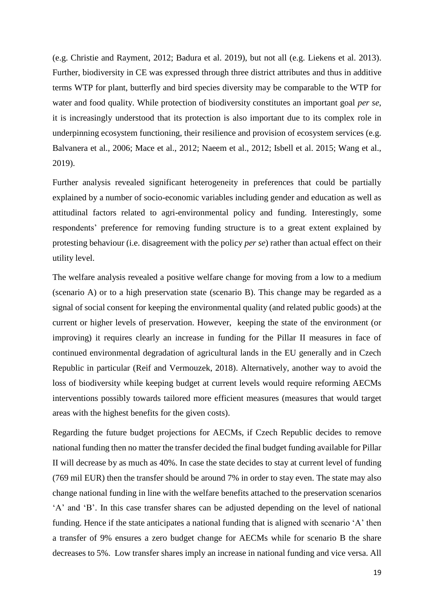(e.g. Christie and Rayment, 2012; Badura et al. 2019), but not all (e.g. Liekens et al. 2013). Further, biodiversity in CE was expressed through three district attributes and thus in additive terms WTP for plant, butterfly and bird species diversity may be comparable to the WTP for water and food quality. While protection of biodiversity constitutes an important goal *per se*, it is increasingly understood that its protection is also important due to its complex role in underpinning ecosystem functioning, their resilience and provision of ecosystem services (e.g. Balvanera et al., 2006; Mace et al., 2012; Naeem et al., 2012; Isbell et al. 2015; Wang et al., 2019).

Further analysis revealed significant heterogeneity in preferences that could be partially explained by a number of socio-economic variables including gender and education as well as attitudinal factors related to agri-environmental policy and funding. Interestingly, some respondents' preference for removing funding structure is to a great extent explained by protesting behaviour (i.e. disagreement with the policy *per se*) rather than actual effect on their utility level.

The welfare analysis revealed a positive welfare change for moving from a low to a medium (scenario A) or to a high preservation state (scenario B). This change may be regarded as a signal of social consent for keeping the environmental quality (and related public goods) at the current or higher levels of preservation. However, keeping the state of the environment (or improving) it requires clearly an increase in funding for the Pillar II measures in face of continued environmental degradation of agricultural lands in the EU generally and in Czech Republic in particular (Reif and Vermouzek, 2018). Alternatively, another way to avoid the loss of biodiversity while keeping budget at current levels would require reforming AECMs interventions possibly towards tailored more efficient measures (measures that would target areas with the highest benefits for the given costs).

Regarding the future budget projections for AECMs, if Czech Republic decides to remove national funding then no matter the transfer decided the final budget funding available for Pillar II will decrease by as much as 40%. In case the state decides to stay at current level of funding (769 mil EUR) then the transfer should be around 7% in order to stay even. The state may also change national funding in line with the welfare benefits attached to the preservation scenarios 'A' and 'B'. In this case transfer shares can be adjusted depending on the level of national funding. Hence if the state anticipates a national funding that is aligned with scenario 'A' then a transfer of 9% ensures a zero budget change for AECMs while for scenario B the share decreases to 5%. Low transfer shares imply an increase in national funding and vice versa. All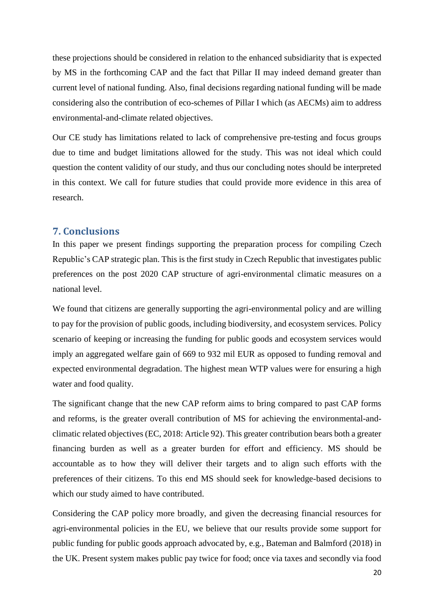these projections should be considered in relation to the enhanced subsidiarity that is expected by MS in the forthcoming CAP and the fact that Pillar II may indeed demand greater than current level of national funding. Also, final decisions regarding national funding will be made considering also the contribution of eco-schemes of Pillar I which (as AECMs) aim to address environmental-and-climate related objectives.

Our CE study has limitations related to lack of comprehensive pre-testing and focus groups due to time and budget limitations allowed for the study. This was not ideal which could question the content validity of our study, and thus our concluding notes should be interpreted in this context. We call for future studies that could provide more evidence in this area of research.

### **7. Conclusions**

In this paper we present findings supporting the preparation process for compiling Czech Republic's CAP strategic plan. This is the first study in Czech Republic that investigates public preferences on the post 2020 CAP structure of agri-environmental climatic measures on a national level.

We found that citizens are generally supporting the agri-environmental policy and are willing to pay for the provision of public goods, including biodiversity, and ecosystem services. Policy scenario of keeping or increasing the funding for public goods and ecosystem services would imply an aggregated welfare gain of 669 to 932 mil EUR as opposed to funding removal and expected environmental degradation. The highest mean WTP values were for ensuring a high water and food quality.

The significant change that the new CAP reform aims to bring compared to past CAP forms and reforms, is the greater overall contribution of MS for achieving the environmental-andclimatic related objectives (EC, 2018: Article 92). This greater contribution bears both a greater financing burden as well as a greater burden for effort and efficiency. MS should be accountable as to how they will deliver their targets and to align such efforts with the preferences of their citizens. To this end MS should seek for knowledge-based decisions to which our study aimed to have contributed.

Considering the CAP policy more broadly, and given the decreasing financial resources for agri-environmental policies in the EU, we believe that our results provide some support for public funding for public goods approach advocated by, e.g., Bateman and Balmford (2018) in the UK. Present system makes public pay twice for food; once via taxes and secondly via food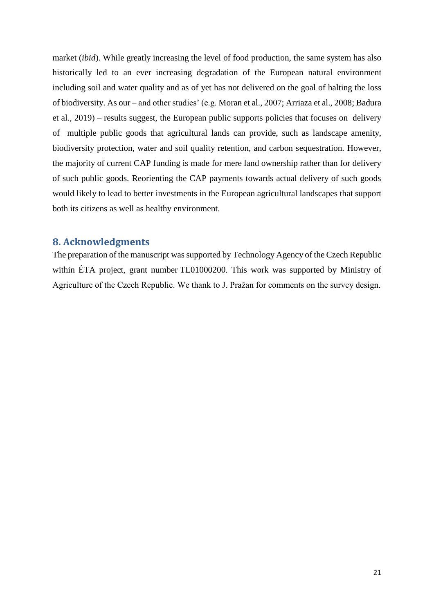market (*ibid*). While greatly increasing the level of food production, the same system has also historically led to an ever increasing degradation of the European natural environment including soil and water quality and as of yet has not delivered on the goal of halting the loss of biodiversity. As our – and other studies' (e.g. Moran et al., 2007; Arriaza et al., 2008; Badura et al., 2019) – results suggest, the European public supports policies that focuses on delivery of multiple public goods that agricultural lands can provide, such as landscape amenity, biodiversity protection, water and soil quality retention, and carbon sequestration. However, the majority of current CAP funding is made for mere land ownership rather than for delivery of such public goods. Reorienting the CAP payments towards actual delivery of such goods would likely to lead to better investments in the European agricultural landscapes that support both its citizens as well as healthy environment.

### **8. Acknowledgments**

The preparation of the manuscript was supported by Technology Agency of the Czech Republic within ÉTA project, grant number TL01000200. This work was supported by Ministry of Agriculture of the Czech Republic. We thank to J. Pražan for comments on the survey design.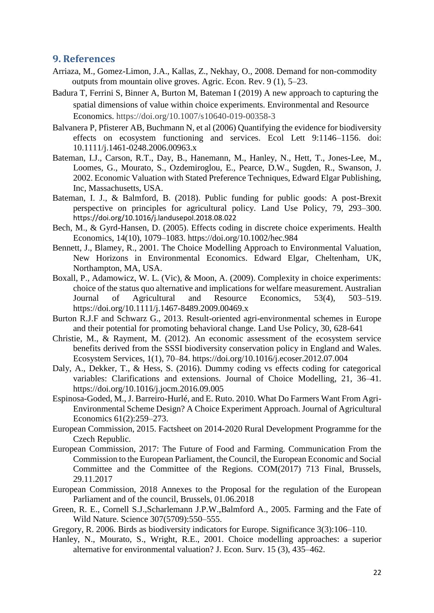### **9. References**

- Arriaza, M., Gomez-Limon, J.A., Kallas, Z., Nekhay, O., 2008. Demand for non-commodity outputs from mountain olive groves. Agric. Econ. Rev. 9 (1), 5–23.
- Badura T, Ferrini S, Binner A, Burton M, Bateman I (2019) A new approach to capturing the spatial dimensions of value within choice experiments. Environmental and Resource Economics. https://doi.org/10.1007/s10640-019-00358-3
- Balvanera P, Pfisterer AB, Buchmann N, et al (2006) Quantifying the evidence for biodiversity effects on ecosystem functioning and services. Ecol Lett 9:1146–1156. doi: 10.1111/j.1461-0248.2006.00963.x
- Bateman, I.J., Carson, R.T., Day, B., Hanemann, M., Hanley, N., Hett, T., Jones-Lee, M., Loomes, G., Mourato, S., Ozdemiroglou, E., Pearce, D.W., Sugden, R., Swanson, J. 2002. Economic Valuation with Stated Preference Techniques, Edward Elgar Publishing, Inc, Massachusetts, USA.
- Bateman, I. J., & Balmford, B. (2018). Public funding for public goods: A post-Brexit perspective on principles for agricultural policy. Land Use Policy, 79, 293–300. <https://doi.org/10.1016/j.landusepol.2018.08.022>
- Bech, M., & Gyrd-Hansen, D. (2005). Effects coding in discrete choice experiments. Health Economics, 14(10), 1079–1083.<https://doi.org/10.1002/hec.984>
- Bennett, J., Blamey, R., 2001. The Choice Modelling Approach to Environmental Valuation, New Horizons in Environmental Economics. Edward Elgar, Cheltenham, UK, Northampton, MA, USA.
- Boxall, P., Adamowicz, W. L. (Vic), & Moon, A. (2009). Complexity in choice experiments: choice of the status quo alternative and implications for welfare measurement. Australian Journal of Agricultural and Resource Economics, 53(4), 503–519. https://doi.org/10.1111/j.1467-8489.2009.00469.x
- Burton R.J.F and Schwarz G., 2013. Result-oriented agri-environmental schemes in Europe and their potential for promoting behavioral change. Land Use Policy, 30, 628-641
- Christie, M., & Rayment, M. (2012). An economic assessment of the ecosystem service benefits derived from the SSSI biodiversity conservation policy in England and Wales. Ecosystem Services, 1(1), 70–84.<https://doi.org/10.1016/j.ecoser.2012.07.004>
- Daly, A., Dekker, T., & Hess, S. (2016). Dummy coding vs effects coding for categorical variables: Clarifications and extensions. Journal of Choice Modelling, 21, 36–41. https://doi.org/10.1016/j.jocm.2016.09.005
- Espinosa-Goded, M., J. Barreiro-Hurlé, and E. Ruto. 2010. What Do Farmers Want From Agri-Environmental Scheme Design? A Choice Experiment Approach. Journal of Agricultural Economics 61(2):259–273.
- European Commission, 2015. Factsheet on 2014-2020 Rural Development Programme for the Czech Republic.
- [European Commission, 2017:](https://www.sciencedirect.com/science/article/pii/S0048969718302389#bbb0180) The Future of Food and Farming. Communication From the Commission to the European Parliament, the Council, the European Economic and Social Committee and the Committee of the Regions. COM(2017) 713 Final, Brussels, 29.11.2017
- [European Commission, 2018](https://www.sciencedirect.com/science/article/pii/S0048969718302389#bbb0180) Annexes to the Proposal for the regulation of the European Parliament and of the council, Brussels, 01.06.2018
- Green, R. E., Cornell S.J.,Scharlemann J.P.W.,Balmford A., 2005. Farming and the Fate of Wild Nature. Science 307(5709):550–555.
- Gregory, R. 2006. Birds as biodiversity indicators for Europe. Significance 3(3):106–110.
- Hanley, N., Mourato, S., Wright, R.E., 2001. Choice modelling approaches: a superior alternative for environmental valuation? J. Econ. Surv. 15 (3), 435–462.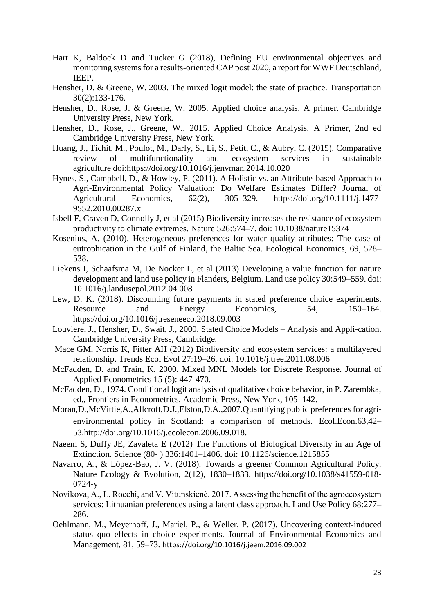- Hart K, Baldock D and Tucker G (2018), Defining EU environmental objectives and monitoring systems for a results-oriented CAP post 2020, a report for WWF Deutschland, IEEP.
- Hensher, D. & Greene, W. 2003. The mixed logit model: the state of practice. Transportation 30(2):133-176.
- Hensher, D., Rose, J. & Greene, W. 2005. Applied choice analysis, A primer. Cambridge University Press, New York.
- Hensher, D., Rose, J., Greene, W., 2015. Applied Choice Analysis. A Primer, 2nd ed Cambridge University Press, New York.
- Huang, J., Tichit, M., Poulot, M., Darly, S., Li, S., Petit, C., & Aubry, C. (2015). Comparative review of multifunctionality and ecosystem services in sustainable agriculture doi[:https://doi.org/10.1016/j.jenvman.2014.10.020](https://doi.org/10.1016/j.jenvman.2014.10.020)
- Hynes, S., Campbell, D., & Howley, P. (2011). A Holistic vs. an Attribute-based Approach to Agri-Environmental Policy Valuation: Do Welfare Estimates Differ? Journal of Agricultural Economics, 62(2), 305–329. https://doi.org/10.1111/j.1477- 9552.2010.00287.x
- Isbell F, Craven D, Connolly J, et al (2015) Biodiversity increases the resistance of ecosystem productivity to climate extremes. Nature 526:574–7. doi: 10.1038/nature15374
- Kosenius, A. (2010). Heterogeneous preferences for water quality attributes: The case of eutrophication in the Gulf of Finland, the Baltic Sea. Ecological Economics, 69, 528– 538.
- Liekens I, Schaafsma M, De Nocker L, et al (2013) Developing a value function for nature development and land use policy in Flanders, Belgium. Land use policy 30:549–559. doi: 10.1016/j.landusepol.2012.04.008
- Lew, D. K. (2018). Discounting future payments in stated preference choice experiments. Resource and Energy Economics, 54, 150–164. https://doi.org/10.1016/j.reseneeco.2018.09.003
- Louviere, J., Hensher, D., Swait, J., 2000. Stated Choice Models Analysis and Appli-cation. Cambridge University Press, Cambridge.
- Mace GM, Norris K, Fitter AH (2012) Biodiversity and ecosystem services: a multilayered relationship. Trends Ecol Evol 27:19–26. doi: 10.1016/j.tree.2011.08.006
- McFadden, D. and Train, K. 2000. Mixed MNL Models for Discrete Response. Journal of Applied Econometrics 15 (5): 447-470.
- McFadden, D., 1974. Conditional logit analysis of qualitative choice behavior, in P. Zarembka, ed., Frontiers in Econometrics, Academic Press, New York, 105–142.
- Moran,D.,McVittie,A.,Allcroft,D.J.,Elston,D.A.,2007.Quantifying public preferences for agrienvironmental policy in Scotland: a comparison of methods. Ecol.Econ.63,42– 53.http://doi.org/10.1016/j.ecolecon.2006.09.018.
- Naeem S, Duffy JE, Zavaleta E (2012) The Functions of Biological Diversity in an Age of Extinction. Science (80- ) 336:1401–1406. doi: 10.1126/science.1215855
- Navarro, A., & López-Bao, J. V. (2018). Towards a greener Common Agricultural Policy. Nature Ecology & Evolution, 2(12), 1830–1833. https://doi.org/10.1038/s41559-018- 0724-y
- Novikova, A., L. Rocchi, and V. Vitunskienė. 2017. Assessing the benefit of the agroecosystem services: Lithuanian preferences using a latent class approach. Land Use Policy 68:277– 286.
- Oehlmann, M., Meyerhoff, J., Mariel, P., & Weller, P. (2017). Uncovering context-induced status quo effects in choice experiments. Journal of Environmental Economics and Management, 81, 59–73. <https://doi.org/10.1016/j.jeem.2016.09.002>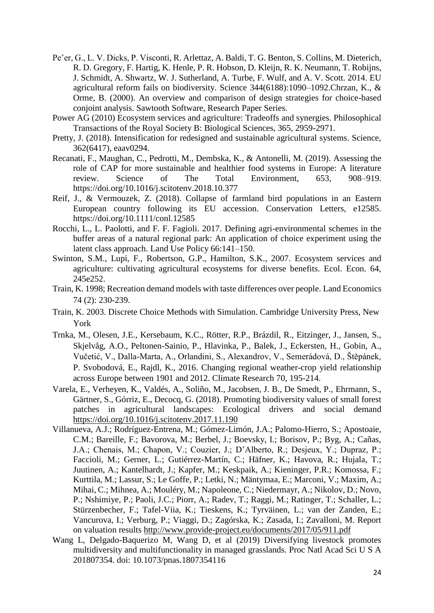- Pe'er, G., L. V. Dicks, P. Visconti, R. Arlettaz, A. Baldi, T. G. Benton, S. Collins, M. Dieterich, R. D. Gregory, F. Hartig, K. Henle, P. R. Hobson, D. Kleijn, R. K. Neumann, T. Robijns, J. Schmidt, A. Shwartz, W. J. Sutherland, A. Turbe, F. Wulf, and A. V. Scott. 2014. EU agricultural reform fails on biodiversity. Science 344(6188):1090–1092.Chrzan, K., & Orme, B. (2000). An overview and comparison of design strategies for choice-based conjoint analysis. Sawtooth Software, Research Paper Series.
- Power AG (2010) Ecosystem services and agriculture: Tradeoffs and synergies. Philosophical Transactions of the Royal Society B: Biological Sciences, 365, 2959-2971.
- Pretty, J. (2018). Intensification for redesigned and sustainable agricultural systems. Science, 362(6417), eaav0294.
- Recanati, F., Maughan, C., Pedrotti, M., Dembska, K., & Antonelli, M. (2019). Assessing the role of CAP for more sustainable and healthier food systems in Europe: A literature review. Science of The Total Environment, 653, 908–919. https://doi.org/10.1016/j.scitotenv.2018.10.377
- Reif, J., & Vermouzek, Z. (2018). Collapse of farmland bird populations in an Eastern European country following its EU accession. Conservation Letters, e12585. https://doi.org/10.1111/conl.12585
- Rocchi, L., L. Paolotti, and F. F. Fagioli. 2017. Defining agri-environmental schemes in the buffer areas of a natural regional park: An application of choice experiment using the latent class approach. Land Use Policy 66:141–150.
- Swinton, S.M., Lupi, F., Robertson, G.P., Hamilton, S.K., 2007. Ecosystem services and agriculture: cultivating agricultural ecosystems for diverse benefits. Ecol. Econ. 64, 245e252.
- Train, K. 1998; Recreation demand models with taste differences over people. Land Economics 74 (2): 230-239.
- [Train, K. 2003.](http://www.sciencedirect.com/science/article/pii/S0165176505001606#bib16) Discrete Choice Methods with Simulation. Cambridge University Press, New York
- Trnka, M., Olesen, J.E., Kersebaum, K.C., Rötter, R.P., Brázdil, R., Eitzinger, J., Jansen, S., Skjelvåg, A.O., Peltonen-Sainio, P., Hlavinka, P., Balek, J., Eckersten, H., Gobin, A., Vučetić, V., Dalla-Marta, A., Orlandini, S., Alexandrov, V., Semerádová, D., Štěpánek, P. Svobodová, E., Rajdl, K., 2016. Changing regional weather-crop yield relationship across Europe between 1901 and 2012. Climate Research 70, 195-214.
- Varela, E., Verheyen, K., Valdés, A., Soliño, M., Jacobsen, J. B., De Smedt, P., Ehrmann, S., Gärtner, S., Górriz, E., Decocq, G. (2018). Promoting biodiversity values of small forest patches in agricultural landscapes: Ecological drivers and social demand <https://doi.org/10.1016/j.scitotenv.2017.11.190>
- Villanueva, A.J.; Rodríguez-Entrena, M.; Gómez-Limón, J.A.; Palomo-Hierro, S.; Apostoaie, C.M.; Bareille, F.; Bavorova, M.; Berbel, J.; Boevsky, I.; Borisov, P.; Byg, A.; Cañas, J.A.; Chenais, M.; Chapon, V.; Couzier, J.; D'Alberto, R.; Desjeux, Y.; Dupraz, P.; Faccioli, M.; Gerner, L.; Gutiérrez-Martín, C.; Häfner, K.; Havova, R.; Hujala, T.; Juutinen, A.; Kantelhardt, J.; Kapfer, M.; Keskpaik, A.; Kieninger, P.R.; Komossa, F.; Kurttila, M.; Lassur, S.; Le Goffe, P.; Letki, N.; Mäntymaa, E.; Marconi, V.; Maxim, A.; Mihai, C.; Mihnea, A.; Mouléry, M.; Napoleone, C.; Niedermayr, A.; Nikolov, D.; Novo, P.; Nshimiye, P.; Paoli, J.C.; Piorr, A.; Radev, T.; Raggi, M.; Ratinger, T.; Schaller, L.; Stürzenbecher, F.; Tafel-Viia, K.; Tieskens, K.; Tyrväinen, L.; van der Zanden, E.; Vancurova, I.; Verburg, P.; Viaggi, D.; Zagórska, K.; Zasada, I.; Zavalloni, M. Report on valuation results<http://www.provide-project.eu/documents/2017/05/911.pdf>
- Wang L, Delgado-Baquerizo M, Wang D, et al (2019) Diversifying livestock promotes multidiversity and multifunctionality in managed grasslands. Proc Natl Acad Sci U S A 201807354. doi: 10.1073/pnas.1807354116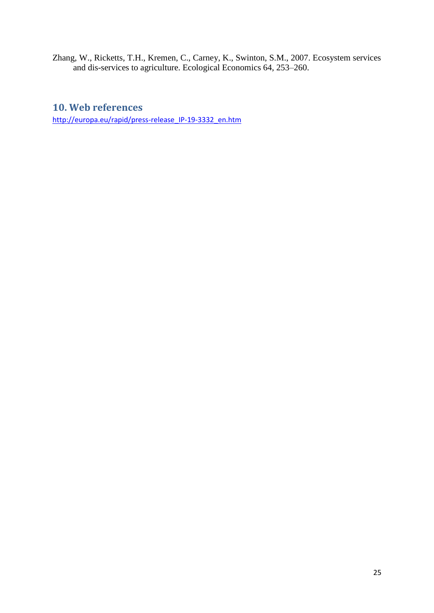Zhang, W., Ricketts, T.H., Kremen, C., Carney, K., Swinton, S.M., 2007. Ecosystem services and dis-services to agriculture. Ecological Economics 64, 253–260.

## **10. Web references**

http://europa.eu/rapid/press-release IP-19-3332 en.htm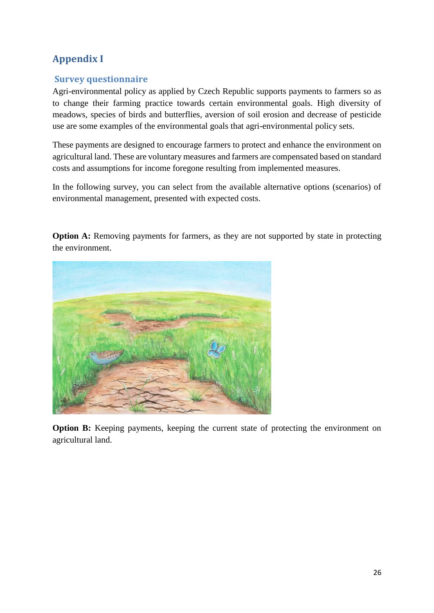# **Appendix I**

### **Survey questionnaire**

Agri-environmental policy as applied by Czech Republic supports payments to farmers so as to change their farming practice towards certain environmental goals. High diversity of meadows, species of birds and butterflies, aversion of soil erosion and decrease of pesticide use are some examples of the environmental goals that agri-environmental policy sets.

These payments are designed to encourage farmers to protect and enhance the environment on agricultural land. These are voluntary measures and farmers are compensated based on standard costs and assumptions for income foregone resulting from implemented measures.

In the following survey, you can select from the available alternative options (scenarios) of environmental management, presented with expected costs.

**Option A:** Removing payments for farmers, as they are not supported by state in protecting the environment.



**Option B:** Keeping payments, keeping the current state of protecting the environment on agricultural land.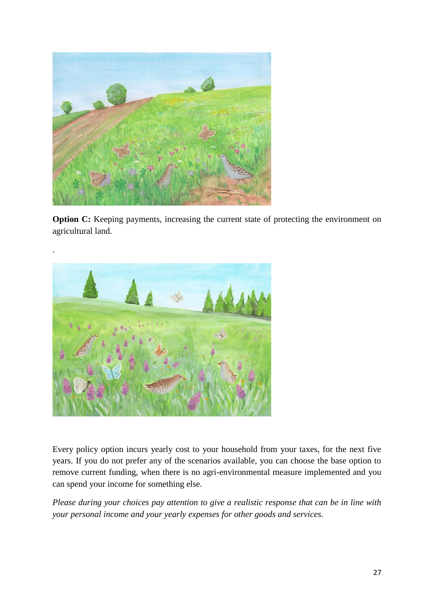

**Option C:** Keeping payments, increasing the current state of protecting the environment on agricultural land.



Every policy option incurs yearly cost to your household from your taxes, for the next five years. If you do not prefer any of the scenarios available, you can choose the base option to remove current funding, when there is no agri-environmental measure implemented and you can spend your income for something else.

*Please during your choices pay attention to give a realistic response that can be in line with your personal income and your yearly expenses for other goods and services.*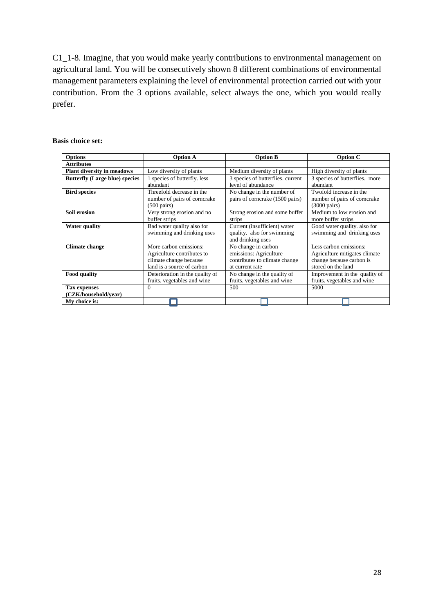C1\_1-8. Imagine, that you would make yearly contributions to environmental management on agricultural land. You will be consecutively shown 8 different combinations of environmental management parameters explaining the level of environmental protection carried out with your contribution. From the 3 options available, select always the one, which you would really prefer.

#### **Basis choice set:**

| <b>Options</b>                        | <b>Option A</b>                 | <b>Option B</b>                   | <b>Option C</b>                |
|---------------------------------------|---------------------------------|-----------------------------------|--------------------------------|
| <b>Attributes</b>                     |                                 |                                   |                                |
| <b>Plant diversity in meadows</b>     | Low diversity of plants         | Medium diversity of plants        | High diversity of plants       |
| <b>Butterfly (Large blue) species</b> | 1 species of butterfly. less    | 3 species of butterflies. current | 3 species of butterflies. more |
|                                       | abundant                        | level of abundance                | abundant                       |
| <b>Bird species</b>                   | Threefold decrease in the       | No change in the number of        | Twofold increase in the        |
|                                       | number of pairs of corncrake    | pairs of cornerake (1500 pairs)   | number of pairs of corncrake   |
|                                       | $(500 \text{ pairs})$           |                                   | $(3000 \text{ pairs})$         |
| Soil erosion                          | Very strong erosion and no      | Strong erosion and some buffer    | Medium to low erosion and      |
|                                       | buffer strips                   | strips                            | more buffer strips             |
| <b>Water quality</b>                  | Bad water quality also for      | Current (insufficient) water      | Good water quality, also for   |
|                                       | swimming and drinking uses      | quality. also for swimming        | swimming and drinking uses     |
|                                       |                                 | and drinking uses                 |                                |
| <b>Climate change</b>                 | More carbon emissions:          | No change in carbon               | Less carbon emissions:         |
|                                       | Agriculture contributes to      | emissions: Agriculture            | Agriculture mitigates climate  |
|                                       | climate change because          | contributes to climate change     | change because carbon is       |
|                                       | land is a source of carbon      | at current rate                   | stored on the land             |
| <b>Food quality</b>                   | Deterioration in the quality of | No change in the quality of       | Improvement in the quality of  |
|                                       | fruits. vegetables and wine     | fruits. vegetables and wine       | fruits. vegetables and wine    |
| <b>Tax expenses</b>                   | $\Omega$                        | 500                               | 5000                           |
| (CZK/household/vear)                  |                                 |                                   |                                |
| My choice is:                         |                                 |                                   |                                |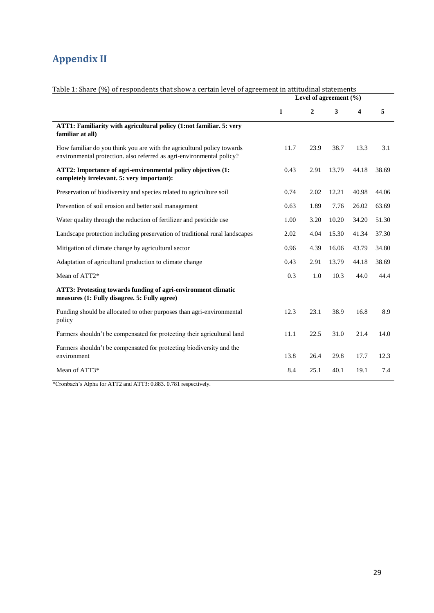# **Appendix II**

|                                                                                                                                                 | Level of agreement $(\% )$ |              |       |       |       |  |  |
|-------------------------------------------------------------------------------------------------------------------------------------------------|----------------------------|--------------|-------|-------|-------|--|--|
|                                                                                                                                                 | 1                          | $\mathbf{2}$ | 3     | 4     | 5     |  |  |
| ATT1: Familiarity with agricultural policy (1:not familiar. 5: very<br>familiar at all)                                                         |                            |              |       |       |       |  |  |
| How familiar do you think you are with the agricultural policy towards<br>environmental protection. also referred as agri-environmental policy? | 11.7                       | 23.9         | 38.7  | 13.3  | 3.1   |  |  |
| ATT2: Importance of agri-environmental policy objectives (1:<br>completely irrelevant. 5: very important):                                      | 0.43                       | 2.91         | 13.79 | 44.18 | 38.69 |  |  |
| Preservation of biodiversity and species related to agriculture soil                                                                            | 0.74                       | 2.02         | 12.21 | 40.98 | 44.06 |  |  |
| Prevention of soil erosion and better soil management                                                                                           | 0.63                       | 1.89         | 7.76  | 26.02 | 63.69 |  |  |
| Water quality through the reduction of fertilizer and pesticide use                                                                             | 1.00                       | 3.20         | 10.20 | 34.20 | 51.30 |  |  |
| Landscape protection including preservation of traditional rural landscapes                                                                     | 2.02                       | 4.04         | 15.30 | 41.34 | 37.30 |  |  |
| Mitigation of climate change by agricultural sector                                                                                             | 0.96                       | 4.39         | 16.06 | 43.79 | 34.80 |  |  |
| Adaptation of agricultural production to climate change                                                                                         | 0.43                       | 2.91         | 13.79 | 44.18 | 38.69 |  |  |
| Mean of ATT2*                                                                                                                                   | 0.3                        | 1.0          | 10.3  | 44.0  | 44.4  |  |  |
| ATT3: Protesting towards funding of agri-environment climatic<br>measures (1: Fully disagree. 5: Fully agree)                                   |                            |              |       |       |       |  |  |
| Funding should be allocated to other purposes than agri-environmental<br>policy                                                                 | 12.3                       | 23.1         | 38.9  | 16.8  | 8.9   |  |  |
| Farmers shouldn't be compensated for protecting their agricultural land                                                                         | 11.1                       | 22.5         | 31.0  | 21.4  | 14.0  |  |  |
| Farmers shouldn't be compensated for protecting biodiversity and the<br>environment                                                             | 13.8                       | 26.4         | 29.8  | 17.7  | 12.3  |  |  |
| Mean of ATT3*                                                                                                                                   | 8.4                        | 25.1         | 40.1  | 19.1  | 7.4   |  |  |

#### Table 1: Share (%) of respondents that show a certain level of agreement in attitudinal statements

\*Cronbach's Alpha for ATT2 and ATT3: 0.883. 0.781 respectively.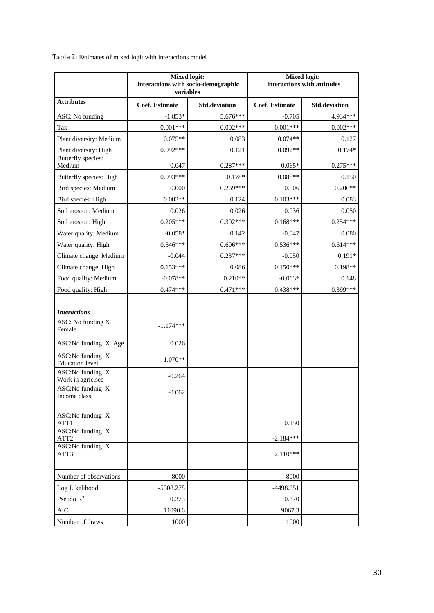Table 2: Estimates of mixed logit with interactions model

|                                               | <b>Mixed logit:</b><br>interactions with socio-demographic<br>variables |                      | <b>Mixed logit:</b><br>interactions with attitudes |                      |  |  |
|-----------------------------------------------|-------------------------------------------------------------------------|----------------------|----------------------------------------------------|----------------------|--|--|
| <b>Attributes</b>                             | Coef. Estimate                                                          | <b>Std.deviation</b> | <b>Coef. Estimate</b>                              | <b>Std.deviation</b> |  |  |
| ASC: No funding                               | $-1.853*$                                                               | 5.676***             | $-0.705$                                           | 4.934***             |  |  |
| Tax                                           | $-0.001***$                                                             | $0.002***$           | $-0.001***$                                        | $0.002***$           |  |  |
| Plant diversity: Medium                       | $0.075**$                                                               | 0.083                | $0.074**$                                          | 0.127                |  |  |
| Plant diversity: High                         | $0.092***$                                                              | 0.121                | $0.092**$                                          | $0.174*$             |  |  |
| Butterfly species:<br>Medium                  | 0.047                                                                   | $0.287***$           | $0.065*$                                           | $0.275***$           |  |  |
| Butterfly species: High                       | $0.093***$                                                              | $0.178*$             | $0.088**$                                          | 0.150                |  |  |
| Bird species: Medium                          | 0.000                                                                   | $0.269***$           | 0.006                                              | $0.206**$            |  |  |
| Bird species: High                            | $0.083**$                                                               | 0.124                | $0.103***$                                         | 0.083                |  |  |
| Soil erosion: Medium                          | 0.026                                                                   | 0.026                | 0.036                                              | 0.050                |  |  |
| Soil erosion: High                            | $0.205***$                                                              | $0.302***$           | $0.168***$                                         | $0.254***$           |  |  |
| Water quality: Medium                         | $-0.058*$                                                               | 0.142                | $-0.047$                                           | 0.080                |  |  |
| Water quality: High                           | $0.546***$                                                              | $0.606***$           | $0.536***$                                         | $0.614***$           |  |  |
| Climate change: Medium                        | $-0.044$                                                                | $0.237***$           | $-0.050$                                           | $0.191*$             |  |  |
| Climate change: High                          | $0.153***$                                                              | 0.086                | $0.150***$                                         | $0.198**$            |  |  |
| Food quality: Medium                          | $-0.078**$                                                              | $0.210**$            | $-0.063*$                                          | 0.148                |  |  |
| Food quality: High                            | $0.474***$                                                              | $0.471***$           | $0.438***$                                         | 0.399***             |  |  |
| <b>Interactions</b>                           |                                                                         |                      |                                                    |                      |  |  |
| ASC: No funding X<br>Female                   | $-1.174***$                                                             |                      |                                                    |                      |  |  |
| ASC:No funding X Age                          | 0.026                                                                   |                      |                                                    |                      |  |  |
| ASC:No funding X<br><b>Education</b> level    | $-1.070**$                                                              |                      |                                                    |                      |  |  |
| ASC:No funding X<br>Work in agric.sec         | $-0.264$                                                                |                      |                                                    |                      |  |  |
| ASC:No funding $\overline{X}$<br>Income class | $-0.062$                                                                |                      |                                                    |                      |  |  |
|                                               |                                                                         |                      |                                                    |                      |  |  |
| ASC:No funding X<br>ATT1                      |                                                                         |                      | 0.150                                              |                      |  |  |
| ASC:No funding X<br>ATT <sub>2</sub>          |                                                                         |                      | $-2.184***$                                        |                      |  |  |
| ASC:No funding X<br>ATT3                      |                                                                         |                      | $2.110***$                                         |                      |  |  |
|                                               |                                                                         |                      |                                                    |                      |  |  |
| Number of observations                        | 8000                                                                    |                      | 8000                                               |                      |  |  |
| Log Likelihood                                | -5508.278                                                               |                      | -4498.651                                          |                      |  |  |
| Pseudo R <sup>2</sup>                         | 0.373                                                                   |                      | 0.370                                              |                      |  |  |
| $\rm AIC$                                     | 11090.6                                                                 |                      | 9067.3                                             |                      |  |  |
| Number of draws                               | 1000                                                                    |                      | 1000                                               |                      |  |  |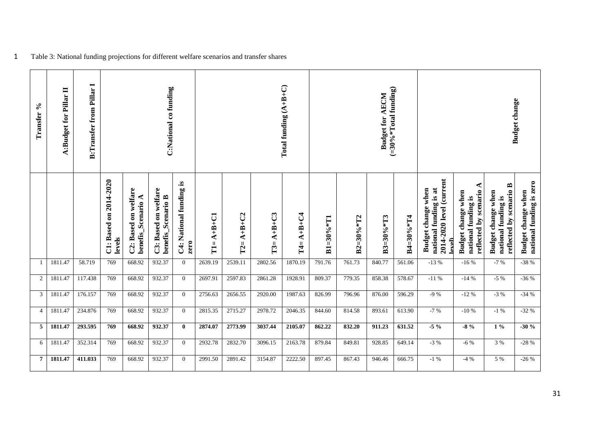| Transfer %     | A:Budget for Pillar II | <b>B:Transfer from Pillar I</b> |                                  |                                                   | C:National co funding                      |                                 |                          |                    |                    | Total funding $(A+B+C)$ |                  |                 | $(=30\% * Total funding)$<br><b>Budget for AECM</b> |                 |                                                                                            |                                                                         | <b>Budget</b> change                                                 |                                                |
|----------------|------------------------|---------------------------------|----------------------------------|---------------------------------------------------|--------------------------------------------|---------------------------------|--------------------------|--------------------|--------------------|-------------------------|------------------|-----------------|-----------------------------------------------------|-----------------|--------------------------------------------------------------------------------------------|-------------------------------------------------------------------------|----------------------------------------------------------------------|------------------------------------------------|
|                |                        |                                 | C1: Based on 2014-2020<br>levels | C2: Based on welfare<br><b>benefis_Scenario A</b> | C3: Based on welfare<br>benefis_Scenario B | C4: National funding is<br>zero | $A+B+C1$<br>$\mathbf{H}$ | $A+B+C2$<br>$T2 =$ | $A+B+C3$<br>$T3 =$ | $A + B + C4$<br>$T4 =$  | $B1 = 30\% * T1$ | $B2 = 30% * T2$ | $B3=30\%*T3$                                        | $B4 = 30% * T4$ | 2014-2020 level (current<br>national funding is at<br>Budget change when<br>$_{\rm level}$ | ⋖<br>reflected by scenario<br>Budget change when<br>national funding is | reflected by scenario B<br>Budget change when<br>national funding is | national funding is zero<br>Budget change when |
|                | 1811.47                | 58.719                          | 769                              | 668.92                                            | 932.37                                     | $\overline{0}$                  | 2639.19                  | 2539.11            | 2802.56            | 1870.19                 | 791.76           | 761.73          | 840.77                                              | 561.06          | $-13%$                                                                                     | $-16%$                                                                  | $-7%$                                                                | $-38%$                                         |
| $\overline{c}$ | 1811.47                | 117.438                         | 769                              | 668.92                                            | 932.37                                     | $\mathbf{0}$                    | 2697.91                  | 2597.83            | 2861.28            | 1928.91                 | 809.37           | 779.35          | 858.38                                              | 578.67          | $-11%$                                                                                     | $-14%$                                                                  | $-5\%$                                                               | $-36%$                                         |
| 3              | 1811.47                | 176.157                         | 769                              | 668.92                                            | 932.37                                     | $\overline{0}$                  | 2756.63                  | 2656.55            | 2920.00            | 1987.63                 | 826.99           | 796.96          | 876.00                                              | 596.29          | $-9%$                                                                                      | $-12%$                                                                  | $-3\%$                                                               | $-34%$                                         |
| $\overline{4}$ | 1811.47                | 234.876                         | 769                              | 668.92                                            | 932.37                                     | $\mathbf{0}$                    | 2815.35                  | 2715.27            | 2978.72            | 2046.35                 | 844.60           | 814.58          | 893.61                                              | 613.90          | $-7 %$                                                                                     | $-10%$                                                                  | $-1\%$                                                               | $-32%$                                         |
| 5              | 1811.47                | 293.595                         | 769                              | 668.92                                            | 932.37                                     | $\bf{0}$                        | 2874.07                  | 2773.99            | 3037.44            | 2105.07                 | 862.22           | 832.20          | 911.23                                              | 631.52          | $-5\%$                                                                                     | $-8\%$                                                                  | $1\%$                                                                | $-30%$                                         |
| 6              | 1811.47                | 352.314                         | 769                              | 668.92                                            | 932.37                                     | $\overline{0}$                  | 2932.78                  | 2832.70            | 3096.15            | 2163.78                 | 879.84           | 849.81          | 928.85                                              | 649.14          | $-3%$                                                                                      | $-6\%$                                                                  | 3 %                                                                  | $-28%$                                         |
| 7              | 1811.47                | 411.033                         | 769                              | 668.92                                            | 932.37                                     | $\overline{0}$                  | 2991.50                  | 2891.42            | 3154.87            | 2222.50                 | 897.45           | 867.43          | 946.46                                              | 666.75          | $-1\%$                                                                                     | $-4%$                                                                   | 5 %                                                                  | $-26%$                                         |

1 Table 3: National funding projections for different welfare scenarios and transfer shares